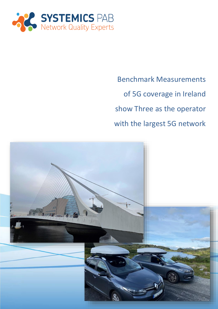

Benchmark Measurements of 5G coverage in Ireland show Three as the operator with the largest 5G network

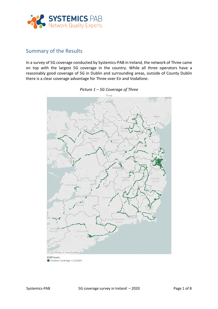

# Summary of the Results

In a survey of 5G coverage conducted by Systemics-PAB in Ireland, the network of Three came on top with the largest 5G coverage in the country. While all three operators have a reasonably good coverage of 5G in Dublin and surrounding areas, outside of County Dublin there is a clear coverage advantage for Three over Eir and Vodafone.



#### *Picture 1 – 5G Coverage of Three*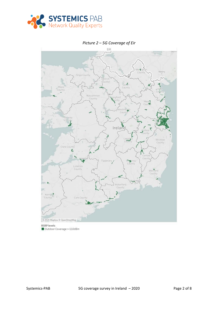

#### EIR pen Z  $10 - 4$ Novir Count Sligo County trin cinty Cavin County Roscommon<br>County aford Meat<sup>1</sup> estm  $\ddot{\phantom{1}}$ Count Ireland Ŧ Wicklow<br>County Clare County ę, Count Tipi **King** mm<br>County Limerick<br>County Wextord County **Naterford** County Ļ, Kerry<sup>b</sup> County © 2020 Mapbox © OpenStreetMap **RSRP** levels Outdoor Coverage >-110dBm

### *Picture 2 – 5G Coverage of Eir*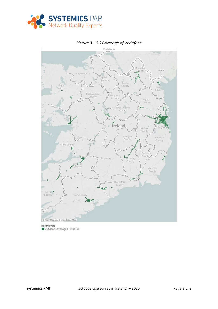



*Picture 3 – 5G Coverage of Vodafone*

Outdoor Coverage >-110dBm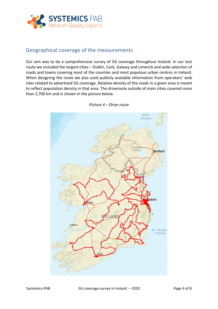

## Geographical coverage of the measurements

Our aim was to do a comprehensive survey of 5G coverage throughout Ireland. In our test route we included the largest cities – Dublin, Cork, Galway and Limerick and wide selection of roads and towns covering most of the counties and most populous urban centres in Ireland. When designing the route we also used publicly available information from operators' web sites related to advertised 5G coverage. Relative density of the roads in a given area is meant to reflect population density in that area. The driveroute outside of main cities covered more than 2,700 km and is shown in the picture below.



*Picture 4 – Drive route*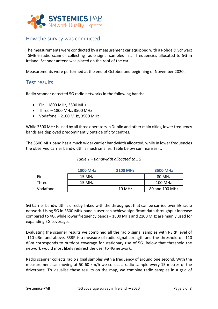

# How the survey was conducted

The measurements were conducted by a measurement car equipped with a Rohde & Schwarz TSME-6 radio scanner collecting radio signal samples in all frequencies allocated to 5G in Ireland. Scanner antena was placed on the roof of the car.

Measurements were performed at the end of October and beginning of November 2020.

## Test results

Radio scanner detected 5G radio networks in the following bands:

- Eir 1800 MHz, 3500 MHz
- Three 1800 MHz, 3500 MHz
- $\bullet$  Vodafone 2100 MHz, 3500 MHz

While 3500 MHz is used by all three operators in Dublin and other main cities, lower frequency bands are deployed predominantly outside of city centres.

The 3500 MHz band has a much wider carrier bandwidth allocated, while in lower frequencies the observed carrier bandwidth is much smaller. Table below summarises it.

|          | <b>1800 MHz</b> | <b>2100 MHz</b> | <b>3500 MHz</b> |
|----------|-----------------|-----------------|-----------------|
| Eir      | 15 MHz          |                 | 80 MHz          |
| Three    | 15 MHz          |                 | 100 MHz         |
| Vodafone |                 | 10 MHz          | 80 and 100 MHz  |

*Table 1 – Bandwidth allocated to 5G*

5G Carrier bandwidth is directly linked with the throughput that can be carried over 5G radio network. Using 5G in 3500 MHz band a user can achieve significant data throughput increase compared to 4G, while lower frequency bands – 1800 MHz and 2100 MHz are mainly used for expanding 5G coverage.

Evaluating the scanner results we combined all the radio signal samples with RSRP level of -110 dBm and above. RSRP is a measure of radio signal strength and the threshold of -110 dBm corresponds to outdoor coverage for stationary use of 5G. Below that threshold the network would most likely redirect the user to 4G network.

Radio scanner collects radio signal samples with a frequency of around one second. With the measurement car moving at 50-60 km/h we collect a radio sample every 15 metres of the driveroute. To visualise these results on the map, we combine radio samples in a grid of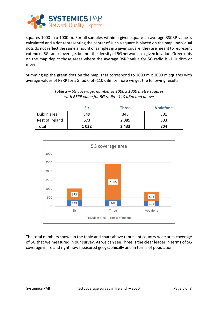

squares 1000 m x 1000 m. For all samples within a given square an average RSCRP value is calculated and a dot representing the center of such a square is placed on the map. Individual dots do not reflect the same amount of samples in a given square, they are meant to represent extend of 5G radio coverage, but not the density of 5G network in a given location. Green dots on the map depict those areas where the average RSRP value for 5G radio is -110 dBm or more.

Summing up the green dots on the map, that correspond to 1000 m x 1000 m squares with average values of RSRP for 5G radio of -110 dBm or more we get the following results.

|                 | Eir  | <b>Three</b> | <b>Vodafone</b> |
|-----------------|------|--------------|-----------------|
| Dublin area     | 349  | 348          | 301             |
| Rest of Ireland | 673  | 2 0 8 5      | 503             |
| Total           | 1022 | 2 4 3 3      | 804             |

*Table 2 – 5G coverage, number of 1000 x 1000 metre squares with RSRP value for 5G radio -110 dBm and above*



The total numbers shown in the table and chart above represent country wide area coverage of 5G that we measured in our survey. As we can see Three is the clear leader in terms of 5G coverage in Ireland right now measured geographically and in terms of population.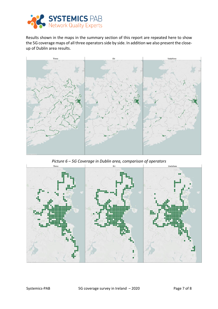

Results shown in the maps in the summary section of this report are repeated here to show the 5G coverage maps of all three operators side by side. In addition we also present the closeup of Dublin area results.



*Picture 6 – 5G Coverage in Dublin area, comparison of operators*